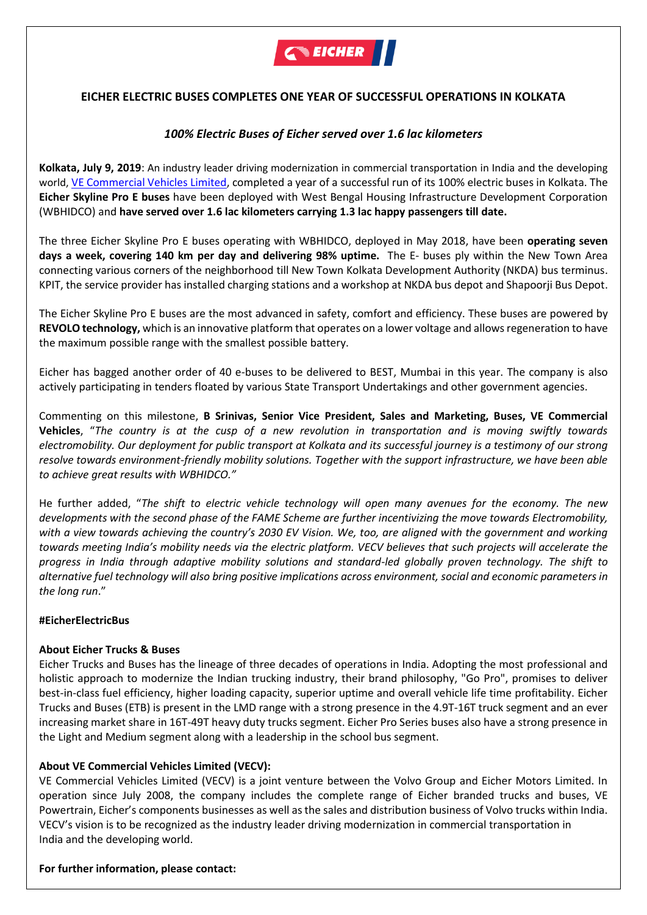

# **EICHER ELECTRIC BUSES COMPLETES ONE YEAR OF SUCCESSFUL OPERATIONS IN KOLKATA**

## *100% Electric Buses of Eicher served over 1.6 lac kilometers*

**Kolkata, July 9, 2019**: An industry leader driving modernization in commercial transportation in India and the developing world, [VE Commercial Vehicles](http://www.vecv.in/) Limited, completed a year of a successful run of its 100% electric buses in Kolkata. The **Eicher Skyline Pro E buses** have been deployed with West Bengal Housing Infrastructure Development Corporation (WBHIDCO) and **have served over 1.6 lac kilometers carrying 1.3 lac happy passengers till date.** 

The three Eicher Skyline Pro E buses operating with WBHIDCO, deployed in May 2018, have been **operating seven days a week, covering 140 km per day and delivering 98% uptime.** The E- buses ply within the New Town Area connecting various corners of the neighborhood till New Town Kolkata Development Authority (NKDA) bus terminus. KPIT, the service provider has installed charging stations and a workshop at NKDA bus depot and Shapoorji Bus Depot.

The Eicher Skyline Pro E buses are the most advanced in safety, comfort and efficiency. These buses are powered by **REVOLO technology,** which is an innovative platform that operates on a lower voltage and allows regeneration to have the maximum possible range with the smallest possible battery.

Eicher has bagged another order of 40 e-buses to be delivered to BEST, Mumbai in this year. The company is also actively participating in tenders floated by various State Transport Undertakings and other government agencies.

Commenting on this milestone, **B Srinivas, Senior Vice President, Sales and Marketing, Buses, VE Commercial Vehicles**, "*The country is at the cusp of a new revolution in transportation and is moving swiftly towards electromobility. Our deployment for public transport at Kolkata and its successful journey is a testimony of our strong resolve towards environment-friendly mobility solutions. Together with the support infrastructure, we have been able to achieve great results with WBHIDCO."*

He further added, "*The shift to electric vehicle technology will open many avenues for the economy. The new developments with the second phase of the FAME Scheme are further incentivizing the move towards Electromobility, with a view towards achieving the country's 2030 EV Vision. We, too, are aligned with the government and working towards meeting India's mobility needs via the electric platform. VECV believes that such projects will accelerate the progress in India through adaptive mobility solutions and standard-led globally proven technology. The shift to alternative fuel technology will also bring positive implications across environment, social and economic parameters in the long run*."

### **#EicherElectricBus**

### **About Eicher Trucks & Buses**

Eicher Trucks and Buses has the lineage of three decades of operations in India. Adopting the most professional and holistic approach to modernize the Indian trucking industry, their brand philosophy, "Go Pro", promises to deliver best-in-class fuel efficiency, higher loading capacity, superior uptime and overall vehicle life time profitability. Eicher Trucks and Buses (ETB) is present in the LMD range with a strong presence in the 4.9T-16T truck segment and an ever increasing market share in 16T-49T heavy duty trucks segment. Eicher Pro Series buses also have a strong presence in the Light and Medium segment along with a leadership in the school bus segment.

### **About VE Commercial Vehicles Limited (VECV):**

VE Commercial Vehicles Limited (VECV) is a joint venture between the Volvo Group and Eicher Motors Limited. In operation since July 2008, the company includes the complete range of Eicher branded trucks and buses, VE Powertrain, Eicher's components businesses as well as the sales and distribution business of Volvo trucks within India. VECV's vision is to be recognized as the industry leader driving modernization in commercial transportation in India and the developing world.

#### **For further information, please contact:**